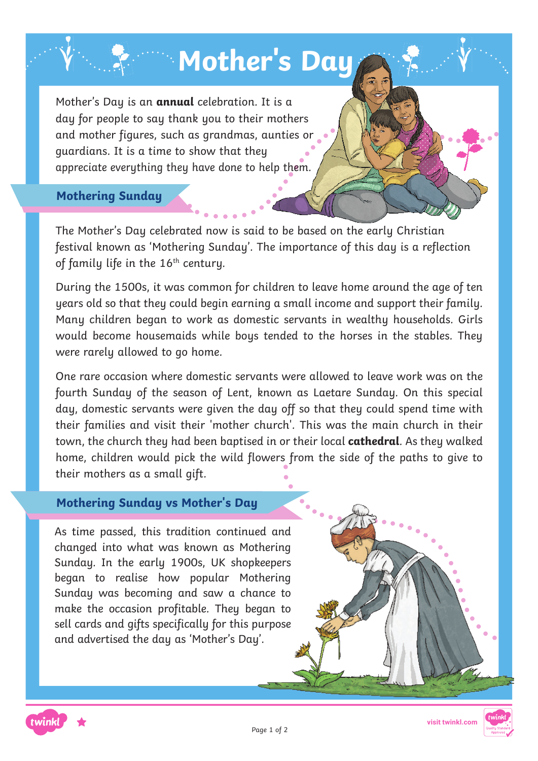# **Mother's Day**

Mother's Day is an **annual** celebration. It is a day for people to say thank you to their mothers and mother figures, such as grandmas, aunties or guardians. It is a time to show that they appreciate everything they have done to help them.

# **Mothering Sunday**

The Mother's Day celebrated now is said to be based on the early Christian festival known as 'Mothering Sunday'. The importance of this day is a reflection of family life in the 16<sup>th</sup> century.

During the 1500s, it was common for children to leave home around the age of ten years old so that they could begin earning a small income and support their family. Many children began to work as domestic servants in wealthy households. Girls would become housemaids while boys tended to the horses in the stables. They were rarely allowed to go home.

One rare occasion where domestic servants were allowed to leave work was on the fourth Sunday of the season of Lent, known as Laetare Sunday. On this special day, domestic servants were given the day off so that they could spend time with their families and visit their 'mother church'. This was the main church in their town, the church they had been baptised in or their local **cathedral**. As they walked home, children would pick the wild flowers from the side of the paths to give to their mothers as a small gift.

### **Mothering Sunday vs Mother's Day**

As time passed, this tradition continued and changed into what was known as Mothering Sunday. In the early 1900s, UK shopkeepers began to realise how popular Mothering Sunday was becoming and saw a chance to make the occasion profitable. They began to sell cards and gifts specifically for this purpose and advertised the day as 'Mother's Day'.





**visit twinkl.com**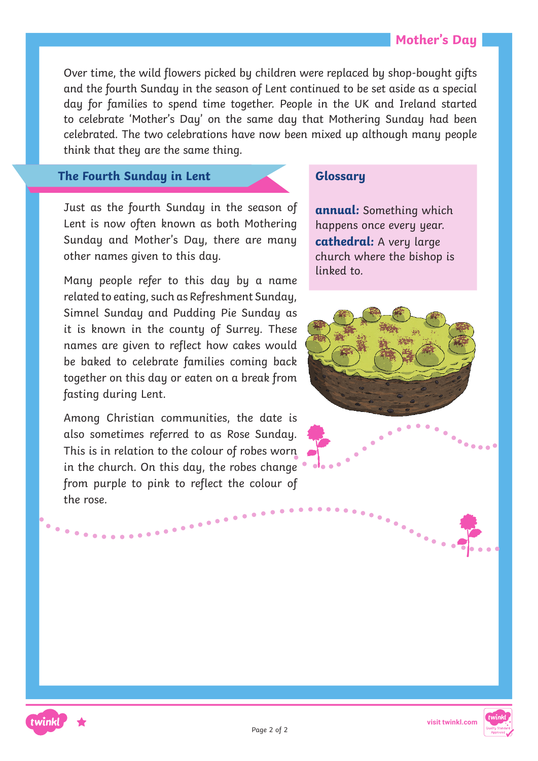Over time, the wild flowers picked by children were replaced by shop-bought gifts and the fourth Sunday in the season of Lent continued to be set aside as a special day for families to spend time together. People in the UK and Ireland started to celebrate 'Mother's Day' on the same day that Mothering Sunday had been celebrated. The two celebrations have now been mixed up although many people think that they are the same thing.

#### **The Fourth Sunday in Lent**

Just as the fourth Sunday in the season of Lent is now often known as both Mothering Sunday and Mother's Day, there are many other names given to this day.

Many people refer to this day by a name related to eating, such as Refreshment Sunday, Simnel Sunday and Pudding Pie Sunday as it is known in the county of Surrey. These names are given to reflect how cakes would be baked to celebrate families coming back together on this day or eaten on a break from fasting during Lent.

Among Christian communities, the date is also sometimes referred to as Rose Sunday. This is in relation to the colour of robes worn in the church. On this day, the robes change from purple to pink to reflect the colour of the rose.

. . . . . . . . . . . . .

twink

# **Glossary**

**annual:** Something which happens once every year. **cathedral:** A very large church where the bishop is linked to.